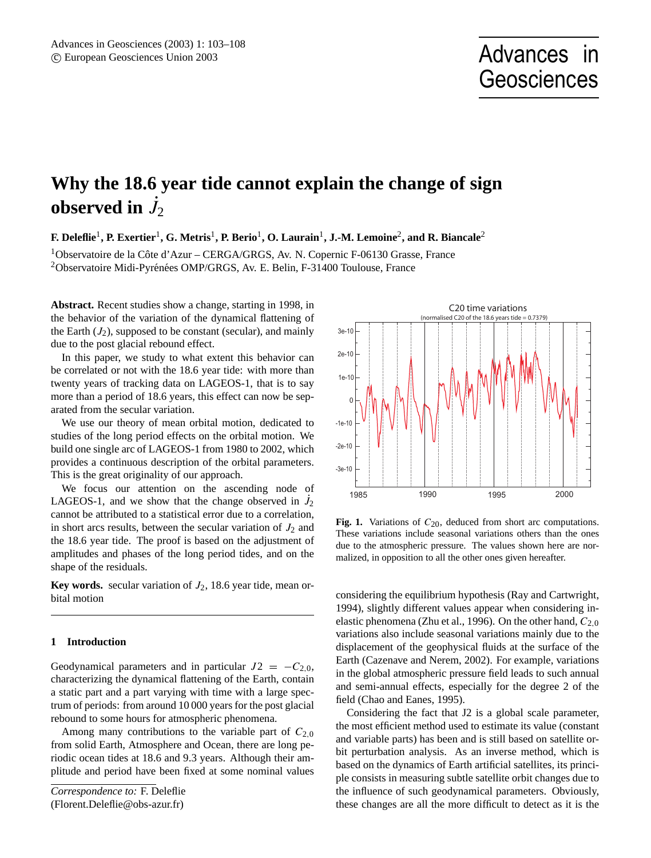# **Why the 18.6 year tide cannot explain the change of sign observed in**  $\dot{J}_2$

 ${\bf F.}$  Deleflie<sup>1</sup>, P. Exertier<sup>1</sup>, G. Metris<sup>1</sup>, P. Berio<sup>1</sup>, O. Laurain<sup>1</sup>, J.-M. Lemoine<sup>2</sup>, and R. Biancale<sup>2</sup>

 $1$ Observatoire de la Côte d'Azur – CERGA/GRGS, Av. N. Copernic F-06130 Grasse, France <sup>2</sup>Observatoire Midi-Pyrénées OMP/GRGS, Av. E. Belin, F-31400 Toulouse, France

**Abstract.** Recent studies show a change, starting in 1998, in the behavior of the variation of the dynamical flattening of the Earth  $(J_2)$ , supposed to be constant (secular), and mainly due to the post glacial rebound effect.

In this paper, we study to what extent this behavior can be correlated or not with the 18.6 year tide: with more than twenty years of tracking data on LAGEOS-1, that is to say more than a period of 18.6 years, this effect can now be separated from the secular variation.

We use our theory of mean orbital motion, dedicated to studies of the long period effects on the orbital motion. We build one single arc of LAGEOS-1 from 1980 to 2002, which provides a continuous description of the orbital parameters. This is the great originality of our approach.

We focus our attention on the ascending node of LAGEOS-1, and we show that the change observed in  $\dot{J}_2$ cannot be attributed to a statistical error due to a correlation, in short arcs results, between the secular variation of  $J_2$  and the 18.6 year tide. The proof is based on the adjustment of amplitudes and phases of the long period tides, and on the shape of the residuals.

**Key words.** secular variation of  $J_2$ , 18.6 year tide, mean orbital motion

#### **1 Introduction**

Geodynamical parameters and in particular  $J2 = -C_{2,0}$ , characterizing the dynamical flattening of the Earth, contain a static part and a part varying with time with a large spectrum of periods: from around 10 000 years for the post glacial rebound to some hours for atmospheric phenomena.

Among many contributions to the variable part of  $C_{2,0}$ from solid Earth, Atmosphere and Ocean, there are long periodic ocean tides at 18.6 and 9.3 years. Although their amplitude and period have been fixed at some nominal values



**Fig. 1.** Variations of  $C_{20}$ , deduced from short arc computations. These variations include seasonal variations others than the ones due to the atmospheric pressure. The values shown here are normalized, in opposition to all the other ones given hereafter.

considering the equilibrium hypothesis (Ray and Cartwright, 1994), slightly different values appear when considering inelastic phenomena (Zhu et al., 1996). On the other hand,  $C_{2,0}$ variations also include seasonal variations mainly due to the displacement of the geophysical fluids at the surface of the Earth (Cazenave and Nerem, 2002). For example, variations in the global atmospheric pressure field leads to such annual and semi-annual effects, especially for the degree 2 of the field (Chao and Eanes, 1995).

Considering the fact that J2 is a global scale parameter, the most efficient method used to estimate its value (constant and variable parts) has been and is still based on satellite orbit perturbation analysis. As an inverse method, which is based on the dynamics of Earth artificial satellites, its principle consists in measuring subtle satellite orbit changes due to the influence of such geodynamical parameters. Obviously, these changes are all the more difficult to detect as it is the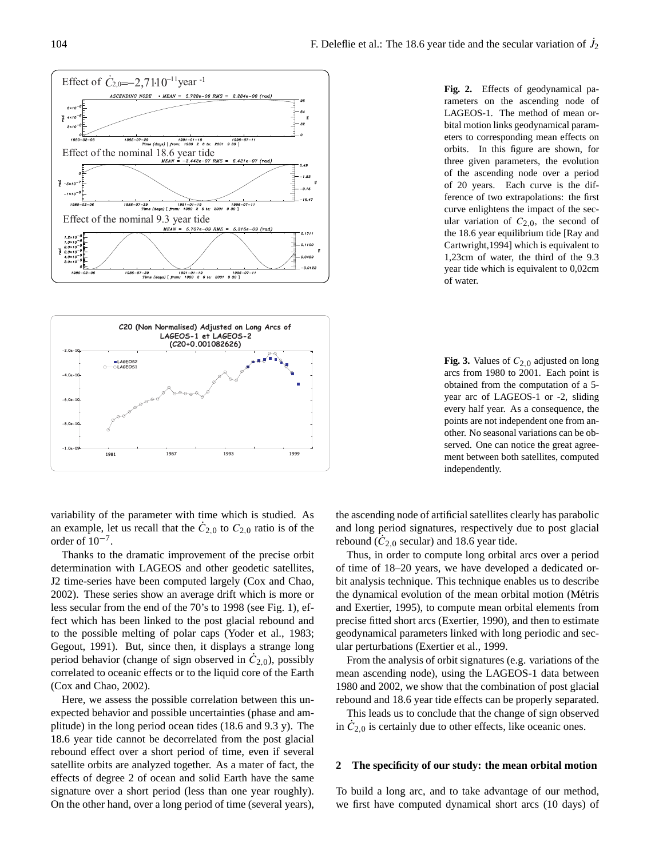

rameters on the ascending node of LAGEOS-1. The method of mean orbital motion links geodynamical parameters to corresponding mean effects on orbits. In this figure are shown, for three given parameters, the evolution of the ascending node over a period of 20 years. Each curve is the difference of two extrapolations: the first curve enlightens the impact of the secular variation of  $C_{2,0}$ , the second of the 18.6 year equilibrium tide [Ray and Cartwright,1994] which is equivalent to 1,23cm of water, the third of the 9.3 year tide which is equivalent to 0,02cm of water.

**Fig. 3.** Values of  $C_{2,0}$  adjusted on long arcs from 1980 to 2001. Each point is obtained from the computation of a 5 year arc of LAGEOS-1 or -2, sliding every half year. As a consequence, the points are not independent one from another. No seasonal variations can be observed. One can notice the great agreement between both satellites, computed independently.

variability of the parameter with time which is studied. As an example, let us recall that the  $\dot{C}_{2,0}$  to  $C_{2,0}$  ratio is of the order of  $10^{-7}$ .

Thanks to the dramatic improvement of the precise orbit determination with LAGEOS and other geodetic satellites, J2 time-series have been computed largely (Cox and Chao, 2002). These series show an average drift which is more or less secular from the end of the 70's to 1998 (see Fig. 1), effect which has been linked to the post glacial rebound and to the possible melting of polar caps (Yoder et al., 1983; Gegout, 1991). But, since then, it displays a strange long period behavior (change of sign observed in  $\dot{C}_{2,0}$ ), possibly correlated to oceanic effects or to the liquid core of the Earth (Cox and Chao, 2002).

Here, we assess the possible correlation between this unexpected behavior and possible uncertainties (phase and amplitude) in the long period ocean tides (18.6 and 9.3 y). The 18.6 year tide cannot be decorrelated from the post glacial rebound effect over a short period of time, even if several satellite orbits are analyzed together. As a mater of fact, the effects of degree 2 of ocean and solid Earth have the same signature over a short period (less than one year roughly). On the other hand, over a long period of time (several years), the ascending node of artificial satellites clearly has parabolic and long period signatures, respectively due to post glacial rebound  $(\dot{C}_{2,0}$  secular) and 18.6 year tide.

Thus, in order to compute long orbital arcs over a period of time of 18–20 years, we have developed a dedicated orbit analysis technique. This technique enables us to describe the dynamical evolution of the mean orbital motion (Métris and Exertier, 1995), to compute mean orbital elements from precise fitted short arcs (Exertier, 1990), and then to estimate geodynamical parameters linked with long periodic and secular perturbations (Exertier et al., 1999.

From the analysis of orbit signatures (e.g. variations of the mean ascending node), using the LAGEOS-1 data between 1980 and 2002, we show that the combination of post glacial rebound and 18.6 year tide effects can be properly separated.

This leads us to conclude that the change of sign observed in  $\dot{C}_{2,0}$  is certainly due to other effects, like oceanic ones.

#### **2 The specificity of our study: the mean orbital motion**

To build a long arc, and to take advantage of our method, we first have computed dynamical short arcs (10 days) of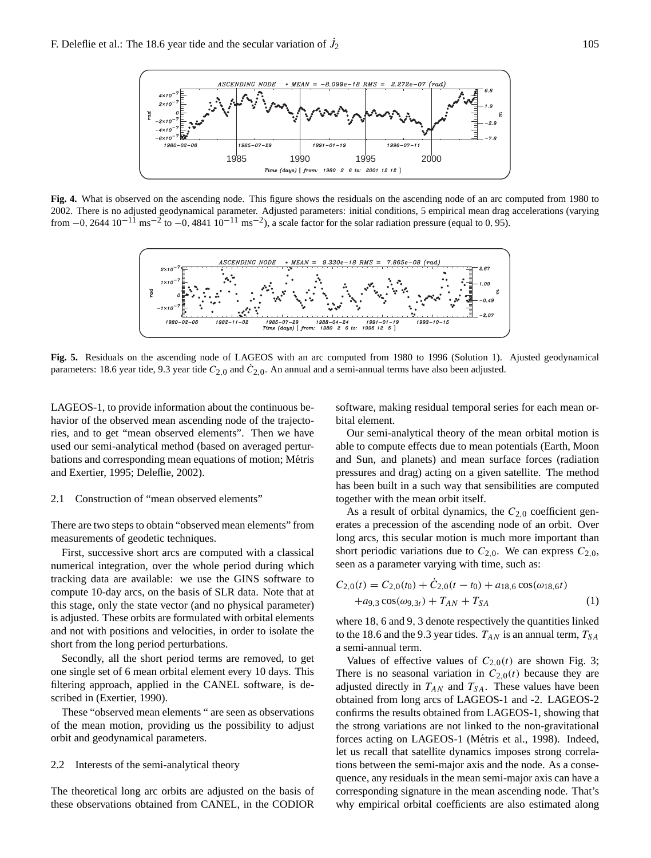

**Fig. 4.** What is observed on the ascending node. This figure shows the residuals on the ascending node of an arc computed from 1980 to 2002. There is no adjusted geodynamical parameter. Adjusted parameters: initial conditions, 5 empirical mean drag accelerations (varying from  $-0$ , 2644  $10^{-11}$  ms<sup>-2</sup> to  $-0$ , 4841  $10^{-11}$  ms<sup>-2</sup>), a scale factor for the solar radiation pressure (equal to 0, 95).



**Fig. 5.** Residuals on the ascending node of LAGEOS with an arc computed from 1980 to 1996 (Solution 1). Ajusted geodynamical parameters: 18.6 year tide, 9.3 year tide  $C_{2,0}$  and  $\dot{C}_{2,0}$ . An annual and a semi-annual terms have also been adjusted.

LAGEOS-1, to provide information about the continuous behavior of the observed mean ascending node of the trajectories, and to get "mean observed elements". Then we have used our semi-analytical method (based on averaged perturbations and corresponding mean equations of motion; Métris and Exertier, 1995; Deleflie, 2002).

### 2.1 Construction of "mean observed elements"

There are two steps to obtain "observed mean elements" from measurements of geodetic techniques.

First, successive short arcs are computed with a classical numerical integration, over the whole period during which tracking data are available: we use the GINS software to compute 10-day arcs, on the basis of SLR data. Note that at this stage, only the state vector (and no physical parameter) is adjusted. These orbits are formulated with orbital elements and not with positions and velocities, in order to isolate the short from the long period perturbations.

Secondly, all the short period terms are removed, to get one single set of 6 mean orbital element every 10 days. This filtering approach, applied in the CANEL software, is described in (Exertier, 1990).

These "observed mean elements " are seen as observations of the mean motion, providing us the possibility to adjust orbit and geodynamical parameters.

# 2.2 Interests of the semi-analytical theory

The theoretical long arc orbits are adjusted on the basis of these observations obtained from CANEL, in the CODIOR software, making residual temporal series for each mean orbital element.

Our semi-analytical theory of the mean orbital motion is able to compute effects due to mean potentials (Earth, Moon and Sun, and planets) and mean surface forces (radiation pressures and drag) acting on a given satellite. The method has been built in a such way that sensibilities are computed together with the mean orbit itself.

As a result of orbital dynamics, the  $C_{2,0}$  coefficient generates a precession of the ascending node of an orbit. Over long arcs, this secular motion is much more important than short periodic variations due to  $C_{2,0}$ . We can express  $C_{2,0}$ , seen as a parameter varying with time, such as:

$$
C_{2,0}(t) = C_{2,0}(t_0) + \dot{C}_{2,0}(t - t_0) + a_{18,6} \cos(\omega_{18,6}t)
$$
  
+ $a_{9,3} \cos(\omega_{9,3}t) + T_{AN} + T_{SA}$  (1)

where 18, 6 and 9, 3 denote respectively the quantities linked to the 18.6 and the 9.3 year tides.  $T_{AN}$  is an annual term,  $T_{SA}$ a semi-annual term.

Values of effective values of  $C_{2,0}(t)$  are shown Fig. 3; There is no seasonal variation in  $C_{2,0}(t)$  because they are adjusted directly in  $T_{AN}$  and  $T_{SA}$ . These values have been obtained from long arcs of LAGEOS-1 and -2. LAGEOS-2 confirms the results obtained from LAGEOS-1, showing that the strong variations are not linked to the non-gravitational forces acting on LAGEOS-1 (Métris et al., 1998). Indeed, let us recall that satellite dynamics imposes strong correlations between the semi-major axis and the node. As a consequence, any residuals in the mean semi-major axis can have a corresponding signature in the mean ascending node. That's why empirical orbital coefficients are also estimated along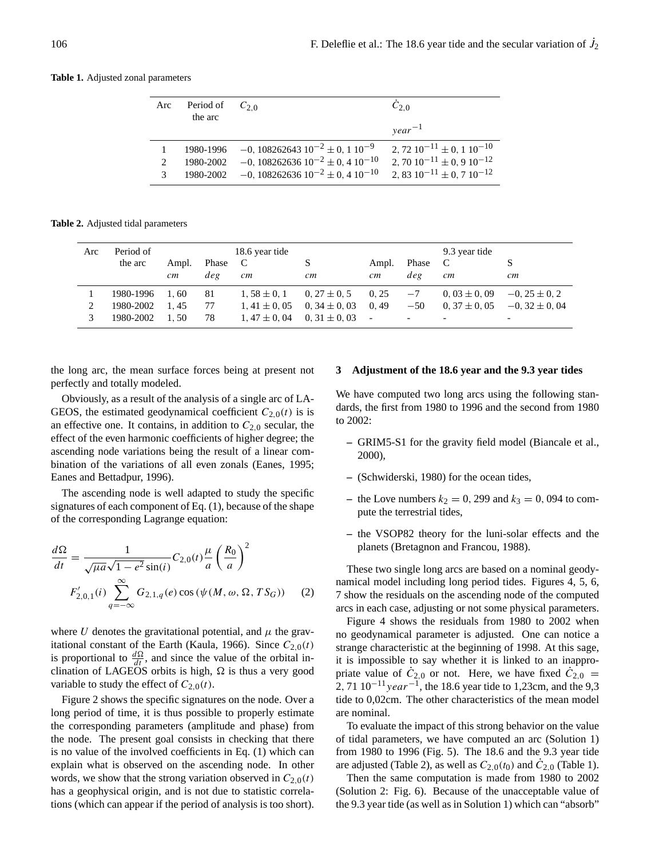#### **Table 1.** Adjusted zonal parameters

| Arc                   | Period of<br>the arc | $C_{2,0}$                                       | $C_{2,0}$                             |
|-----------------------|----------------------|-------------------------------------------------|---------------------------------------|
|                       |                      |                                                 | $year^{-1}$                           |
|                       | 1980-1996            | $-0$ , 108262643 $10^{-2} \pm 0$ , 1 $10^{-9}$  | 2, 72 $10^{-11} \pm 0$ , 1 $10^{-10}$ |
| $\mathcal{D}_{\cdot}$ | 1980-2002            | $-0$ , 108262636 $10^{-2} \pm 0$ , 4 $10^{-10}$ | 2, 70 $10^{-11} \pm 0$ , 9 $10^{-12}$ |
|                       | 1980-2002            | $-0$ , 108262636 $10^{-2} \pm 0$ , 4 $10^{-10}$ | $2,83\ 10^{-11} \pm 0.7\ 10^{-12}$    |

**Table 2.** Adjusted tidal parameters

| Arc | Period of<br>the arc | Ampl.<br>cm | Phase<br>deg | 18.6 year tide<br>$\mathbf{C}$<br>cm | cm                | Ampl.<br>cm    | Phase<br>deg | 9.3 year tide<br>$\mathbf{C}$<br>cm | cm                       |
|-----|----------------------|-------------|--------------|--------------------------------------|-------------------|----------------|--------------|-------------------------------------|--------------------------|
|     | 1980-1996            | 1.60        | 81           | $1.58 \pm 0.1$                       | $0, 27 \pm 0, 5$  | 0.25           | $-7$         | $0,03 \pm 0,09$                     | $-0, 25 \pm 0, 2$        |
| ↑   | 1980-2002            | 1.45        | 77           | $1.41 \pm 0.05$                      | $0, 34 \pm 0, 03$ | 0.49           | $-50$        | $0.37 \pm 0.05$                     | $-0.32 \pm 0.04$         |
|     | 1980-2002            | 1.50        | 78           | $1.47 \pm 0.04$                      | $0.31 \pm 0.03$   | $\blacksquare$ | -            | $\overline{\phantom{0}}$            | $\overline{\phantom{0}}$ |

the long arc, the mean surface forces being at present not perfectly and totally modeled.

Obviously, as a result of the analysis of a single arc of LA-GEOS, the estimated geodynamical coefficient  $C_{2,0}(t)$  is is an effective one. It contains, in addition to  $C_{2,0}$  secular, the effect of the even harmonic coefficients of higher degree; the ascending node variations being the result of a linear combination of the variations of all even zonals (Eanes, 1995; Eanes and Bettadpur, 1996).

The ascending node is well adapted to study the specific signatures of each component of Eq. (1), because of the shape of the corresponding Lagrange equation:

$$
\frac{d\Omega}{dt} = \frac{1}{\sqrt{\mu a} \sqrt{1 - e^2} \sin(i)} C_{2,0}(t) \frac{\mu}{a} \left(\frac{R_0}{a}\right)^2
$$

$$
F'_{2,0,1}(i) \sum_{q=-\infty}^{\infty} G_{2,1,q}(e) \cos(\psi(M, \omega, \Omega, TS_G)) \quad (2)
$$

where U denotes the gravitational potential, and  $\mu$  the gravitational constant of the Earth (Kaula, 1966). Since  $C_{2,0}(t)$ is proportional to  $\frac{d\Omega}{dt}$ , and since the value of the orbital inclination of LAGEOS orbits is high,  $\Omega$  is thus a very good variable to study the effect of  $C_{2,0}(t)$ .

Figure 2 shows the specific signatures on the node. Over a long period of time, it is thus possible to properly estimate the corresponding parameters (amplitude and phase) from the node. The present goal consists in checking that there is no value of the involved coefficients in Eq. (1) which can explain what is observed on the ascending node. In other words, we show that the strong variation observed in  $C_{2,0}(t)$ has a geophysical origin, and is not due to statistic correlations (which can appear if the period of analysis is too short).

#### **3 Adjustment of the 18.6 year and the 9.3 year tides**

We have computed two long arcs using the following standards, the first from 1980 to 1996 and the second from 1980 to 2002:

- **–** GRIM5-S1 for the gravity field model (Biancale et al., 2000),
- **–** (Schwiderski, 1980) for the ocean tides,
- the Love numbers  $k_2 = 0$ , 299 and  $k_3 = 0$ , 094 to compute the terrestrial tides,
- **–** the VSOP82 theory for the luni-solar effects and the planets (Bretagnon and Francou, 1988).

These two single long arcs are based on a nominal geodynamical model including long period tides. Figures 4, 5, 6, 7 show the residuals on the ascending node of the computed arcs in each case, adjusting or not some physical parameters.

Figure 4 shows the residuals from 1980 to 2002 when no geodynamical parameter is adjusted. One can notice a strange characteristic at the beginning of 1998. At this sage, it is impossible to say whether it is linked to an inappropriate value of  $\dot{C}_{2,0}$  or not. Here, we have fixed  $\dot{C}_{2,0}$  =  $2, 71$  10<sup>-11</sup> year<sup>-1</sup>, the 18.6 year tide to 1,23cm, and the 9,3 tide to 0,02cm. The other characteristics of the mean model are nominal.

To evaluate the impact of this strong behavior on the value of tidal parameters, we have computed an arc (Solution 1) from 1980 to 1996 (Fig. 5). The 18.6 and the 9.3 year tide are adjusted (Table 2), as well as  $C_{2,0}(t_0)$  and  $\dot{C}_{2,0}$  (Table 1).

Then the same computation is made from 1980 to 2002 (Solution 2: Fig. 6). Because of the unacceptable value of the 9.3 year tide (as well as in Solution 1) which can "absorb"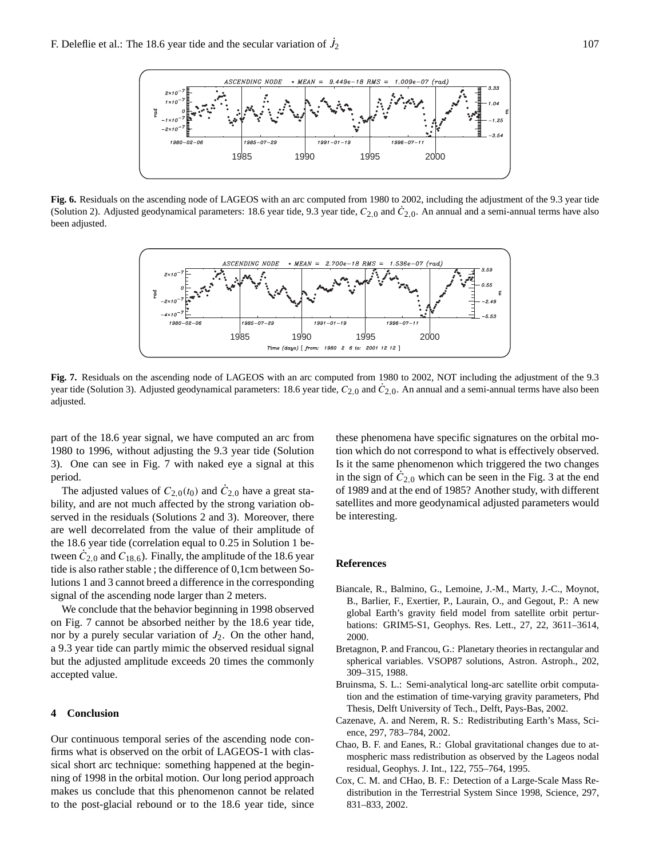

**Fig. 6.** Residuals on the ascending node of LAGEOS with an arc computed from 1980 to 2002, including the adjustment of the 9.3 year tide (Solution 2). Adjusted geodynamical parameters: 18.6 year tide, 9.3 year tide,  $C_{2,0}$  and  $\dot{C}_{2,0}$ . An annual and a semi-annual terms have also been adjusted.



Fig. 7. Residuals on the ascending node of LAGEOS with an arc computed from 1980 to 2002, NOT including the adjustment of the 9.3 year tide (Solution 3). Adjusted geodynamical parameters: 18.6 year tide,  $C_{2,0}$  and  $\dot{C}_{2,0}$ . An annual and a semi-annual terms have also been adjusted.

part of the 18.6 year signal, we have computed an arc from 1980 to 1996, without adjusting the 9.3 year tide (Solution 3). One can see in Fig. 7 with naked eye a signal at this period.

The adjusted values of  $C_{2,0}(t_0)$  and  $\dot{C}_{2,0}$  have a great stability, and are not much affected by the strong variation observed in the residuals (Solutions 2 and 3). Moreover, there are well decorrelated from the value of their amplitude of the 18.6 year tide (correlation equal to 0.25 in Solution 1 between  $\dot{C}_{2,0}$  and  $C_{18,6}$ ). Finally, the amplitude of the 18.6 year tide is also rather stable ; the difference of 0,1cm between Solutions 1 and 3 cannot breed a difference in the corresponding signal of the ascending node larger than 2 meters.

We conclude that the behavior beginning in 1998 observed on Fig. 7 cannot be absorbed neither by the 18.6 year tide, nor by a purely secular variation of  $J_2$ . On the other hand, a 9.3 year tide can partly mimic the observed residual signal but the adjusted amplitude exceeds 20 times the commonly accepted value.

# **4 Conclusion**

Our continuous temporal series of the ascending node confirms what is observed on the orbit of LAGEOS-1 with classical short arc technique: something happened at the beginning of 1998 in the orbital motion. Our long period approach makes us conclude that this phenomenon cannot be related to the post-glacial rebound or to the 18.6 year tide, since

these phenomena have specific signatures on the orbital motion which do not correspond to what is effectively observed. Is it the same phenomenon which triggered the two changes in the sign of  $\ddot{C}_{2,0}$  which can be seen in the Fig. 3 at the end of 1989 and at the end of 1985? Another study, with different satellites and more geodynamical adjusted parameters would be interesting.

#### **References**

- Biancale, R., Balmino, G., Lemoine, J.-M., Marty, J.-C., Moynot, B., Barlier, F., Exertier, P., Laurain, O., and Gegout, P.: A new global Earth's gravity field model from satellite orbit perturbations: GRIM5-S1, Geophys. Res. Lett., 27, 22, 3611–3614, 2000.
- Bretagnon, P. and Francou, G.: Planetary theories in rectangular and spherical variables. VSOP87 solutions, Astron. Astroph., 202, 309–315, 1988.
- Bruinsma, S. L.: Semi-analytical long-arc satellite orbit computation and the estimation of time-varying gravity parameters, Phd Thesis, Delft University of Tech., Delft, Pays-Bas, 2002.
- Cazenave, A. and Nerem, R. S.: Redistributing Earth's Mass, Science, 297, 783–784, 2002.
- Chao, B. F. and Eanes, R.: Global gravitational changes due to atmospheric mass redistribution as observed by the Lageos nodal residual, Geophys. J. Int., 122, 755–764, 1995.
- Cox, C. M. and CHao, B. F.: Detection of a Large-Scale Mass Redistribution in the Terrestrial System Since 1998, Science, 297, 831–833, 2002.